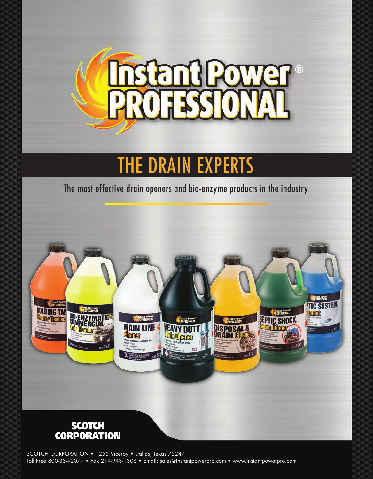

# THE DRAIN EXPERTS

The most effective drain openers and bio-enzyme products in the industry



SCOTCH CORPORATION • 1255 Viceroy • Dallas, Texas 75247 Toll Free 800-334-2077 • Fax 214-943-1306 • Email: sales@instantpowerpro.com • www.instantpowerpro.com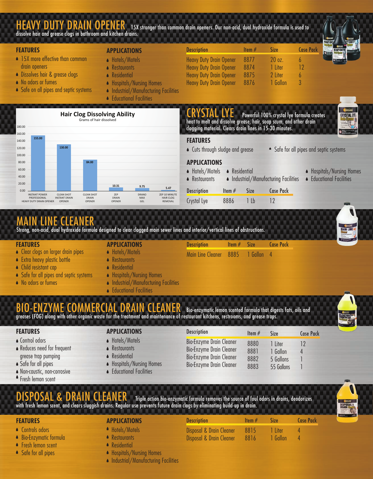### HEAVY DUTY DRAIN OPENER 15X stronger than common drain openers. Our non-acid, dual hydroxide formula is used to dissolve hair and grease clogs in bathroom and kitchen drains.

**FEATURES** Size Case Pack **APPLICATIONS Description** Item # ● 15X more effective than common ● Hotels/Motels Heavy Duty Drain Opener 8877 20 oz. 6 drain openers Heavy Duty Drain Opener 1 Liter 12 **A** Restaurants 8874 ◆ Dissolves hair & grease clogs **Residential** Heavy Duty Drain Opener 8875 2 Liter  $\bullet$ 6 ● No odors or fumes ● Hospitals/Nursing Homes Heavy Duty Drain Opener 8876 1 Gallon 3 • Safe on all pipes and septic systems **Industrial/Manufacturing Facilities** 





## MAIN LINE CLEANER

Strong, non-acid, dual hydroxide formula designed to clear clogged main sewer lines and interior/vertical lines of obstructions.

#### **FEATURES**

- Clear clogs on larger drain pipes
- **Extra heavy plastic bottle**
- Child resistant cap
- **Safe for all pipes and septic systems**
- No odors or fumes

**A** Restaurants **Residential**  $\bullet$ 

**APPLICATIONS** ● Hotels/Motels

**Educational Facilities** 

- Hospitals/Nursing Homes
- **Industrial/Manufacturing Facilities**
- Educational Facilities  $\blacktriangle$

Bio-enzymatic lemon scented formula that digests fats, oils and greases (FOG) along with other organic waste for the treatment and maintenance of restaurant kitchens, restrooms, and grease traps.

#### **FEATURES**

- Control odors
- Reduces need for frequent grease trap pumping
- Safe for all pipes
- Non-caustic, non-corrosive
- Fresh lemon scent

- Hotels/Motels  $\bullet$ **Restaurants**
- Residential  $\blacktriangle$
- Hospitals/Nursing Homes  $\bullet$
- **Educational Facilities**

| <b>Description</b>                                                                                                         | Item $#$                     | Size                                           | Case    |
|----------------------------------------------------------------------------------------------------------------------------|------------------------------|------------------------------------------------|---------|
| <b>Bio-Enzyme Drain Cleaner</b><br>Bio-Enzyme Drain Cleaner<br>Bio-Enzyme Drain Cleaner<br><b>Bio-Enzyme Drain Cleaner</b> | 8880<br>8881<br>8882<br>8883 | 1 Liter<br>1 Gallon<br>5 Gallons<br>55 Gallons | 12<br>4 |



DISPOSAL & DRAIN CLEANER Triple action bio-enzymatic formula removes the source of foul odors in drains, deodorizes with fresh lemon scent, and clears sluggish drains. Regular use prevents future drain clogs by eliminating build-up in drain.

### **FEATURES APPLICATIONS**

- Controls odors
- Bio-Enzymatic formula
- **•** Fresh lemon scent
- Safe for all pipes

#### ● Hotels/Motels **● Restaurants**

- **A** Residential
- Hospitals/Nursing Homes
- Industrial/Manufacturing Facilities

| <b>Description</b>       | Item $#$ | <b>Size</b> | <b>Case Pack</b> |
|--------------------------|----------|-------------|------------------|
| Disposal & Drain Cleaner | 8815     | 1 liter     |                  |
| Disposal & Drain Cleaner | 8816     | 1 Gallon    |                  |



**CRYSTAL LYE** 





- 
- Crystal Lye 8886 1 Lb 12

Item # 8885

Size 1 Gallon Case Pack

4

**Description** 

Main Line Cleaner

Pack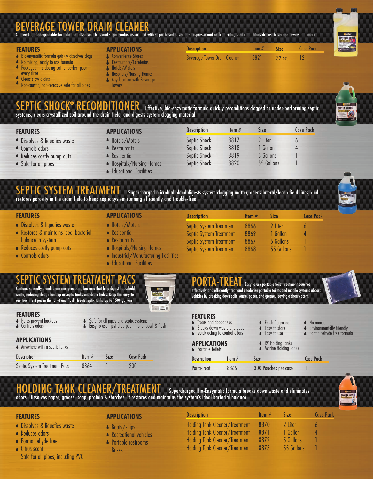## BEVERAGE TOWER DRAIN CLEANER A powerful, biodegradable formula that dissolves clogs and sugar snakes associated with sugar-based beverages, espresso and coffee drains, shake machines drains, beverage towers and more.

#### **FEATURES**

- **Bio-enymaitic formula quickly dissolves clogs**
- No mixing, ready to use formula
- $\blacktriangle$ Packaged in a dosing bottle, perfect pour
- every time Δ
- Clears slow drains

Non-caustic, non-corrosive safe for all pipes

#### **APPLICATIONS**

- Convenience Stores  $\blacklozenge$ Restaurants/Cafeterias
- Hotels/Motels
- Hospitals/Nursing Homes
- Δ Any location with Beverage
- **Towers**

### Effective, bio-enzymatic formula quickly reconditions clogged or under-performing septic systems, clears crystallized soil around the drain field, and digests system clogging material.



| <b>FEATURES</b>               | <b>APPLICATIONS</b>       | <b>Description</b>  | Item $#$ | Size       | <b>Case Pack</b> |
|-------------------------------|---------------------------|---------------------|----------|------------|------------------|
| • Dissolves & liquefies waste | • Hotels/Motels           | Septic Shock        | 8817     | 2 Liter    |                  |
| • Controls odors              | • Restaurants             | Septic Shock        | 8818     | 1 Gallon   |                  |
| ● Reduces costly pump outs    | • Residential             | <b>Septic Shock</b> | 8819     | 5 Gallons  |                  |
| • Safe for all pipes          | • Hospitals/Nursing Homes | Septic Shock        | 8820     | 55 Gallons |                  |

**Description** 

Beverage Tower Drain Cleaner

**• Educational Facilities** 

### SEPTIC SYSTEM TREATMENT Supercharged microbial blend digests system clogging matter, opens lateral/leach field lines, and restores porosity in the drain field to keep septic system running efficiently and trouble-free.



- **Dissolves & liquefies waste**
- Restores & maintains ideal bacterial balance in system
- Reduces costly pump outs
- Controls odors
- **FEATURES APPLICATIONS**
	- Hotels/Motels
	- Residential
	- **A** Restaurants
	- Hospitals/Nursing Homes
	- Industrial/Manufacturing Facilities
	- **Educational Facilities**

| <b>Description</b>             | Item $#$ | <b>Size</b> | Case P |
|--------------------------------|----------|-------------|--------|
| <b>Septic System Treatment</b> | 8866     | 2 Liter     | 6      |
| <b>Septic System Treatment</b> | 8869     | 1 Gallon    | Δ      |
| <b>Septic System Treatment</b> | 8867     | 5 Gallons   |        |
| <b>Septic System Treatment</b> | 8868     | 55 Gallons  |        |

Item # 8821

Size 32 oz. Case Pack 12

### SEPTIC SYSTEM TREATMENT PACS

Contains specially blended enzyme-producing bacteria that help digest household waste, reducing sludge buildup in septic tanks and drain fields. Drop this easy to use treatment pac in the toilet and flush. Treats septic tanks up to 1500 gallo



ack



#### **FEATURES**

- Helps prevent backups **▲** Controls odors
- 

#### **APPLICATIONS**

|  | ▲ Anywhere with a septic tanks |  |  |
|--|--------------------------------|--|--|

| <b>Description</b>           | Item $#$ | <b>Size</b> | Case P |
|------------------------------|----------|-------------|--------|
| Septic System Treatment Pacs | 8864     |             | 200    |

| $\bullet$ Treats and de |  | <b>FEATURES</b> |  |
|-------------------------|--|-----------------|--|
|                         |  |                 |  |

- deodorizes ● Breaks down waste and paper
- **▲** Quick acting to control odors

#### RV Holding Tanks Marine Holding Tanks **APPLICATIONS ▲** Portable Toilets

- **Description** Porta-Treat Item #
	- 8865
- Fresh fragrance Easy to store

Easy to use

300 Pouches per case

Size

No measuring

ıck

Case Pack

- Environmentally friendly Formaldehyde free formula  $\bullet$
- 

1

Case Pack

## HOLDING TANK CLEANER/TREATMENT Supercharged Bio-Enzymatic formula breaks down waste and eliminates

Safe for all pipes and septic systems Easy to use - just drop pac in toilet bowl & flush

odors. Dissolves paper, grease, soap, protein & starches. It restores and maintains the system's ideal bacterial balance.

- **Dissolves & liquefies waste**
- Reduces odors
- Formaldehyde free
- Citrus scent Safe for all pipes, including PVC

### **FEATURES APPLICATIONS**

- Boats/ships
- Recreational vehicles
- Portable restrooms Buses

| <b>Description</b>                    | Item $#$ | Size       |
|---------------------------------------|----------|------------|
| <b>Holding Tank Cleaner/Treatment</b> | 8870     | 2 Liter    |
| <b>Holding Tank Cleaner/Treatment</b> | 8871     | 1 Gallon   |
| Holding Tank Cleaner/Treatment        | 8872     | 5 Gallons  |
| Holding Tank Cleaner/Treatment        | 8873     | 55 Gallons |